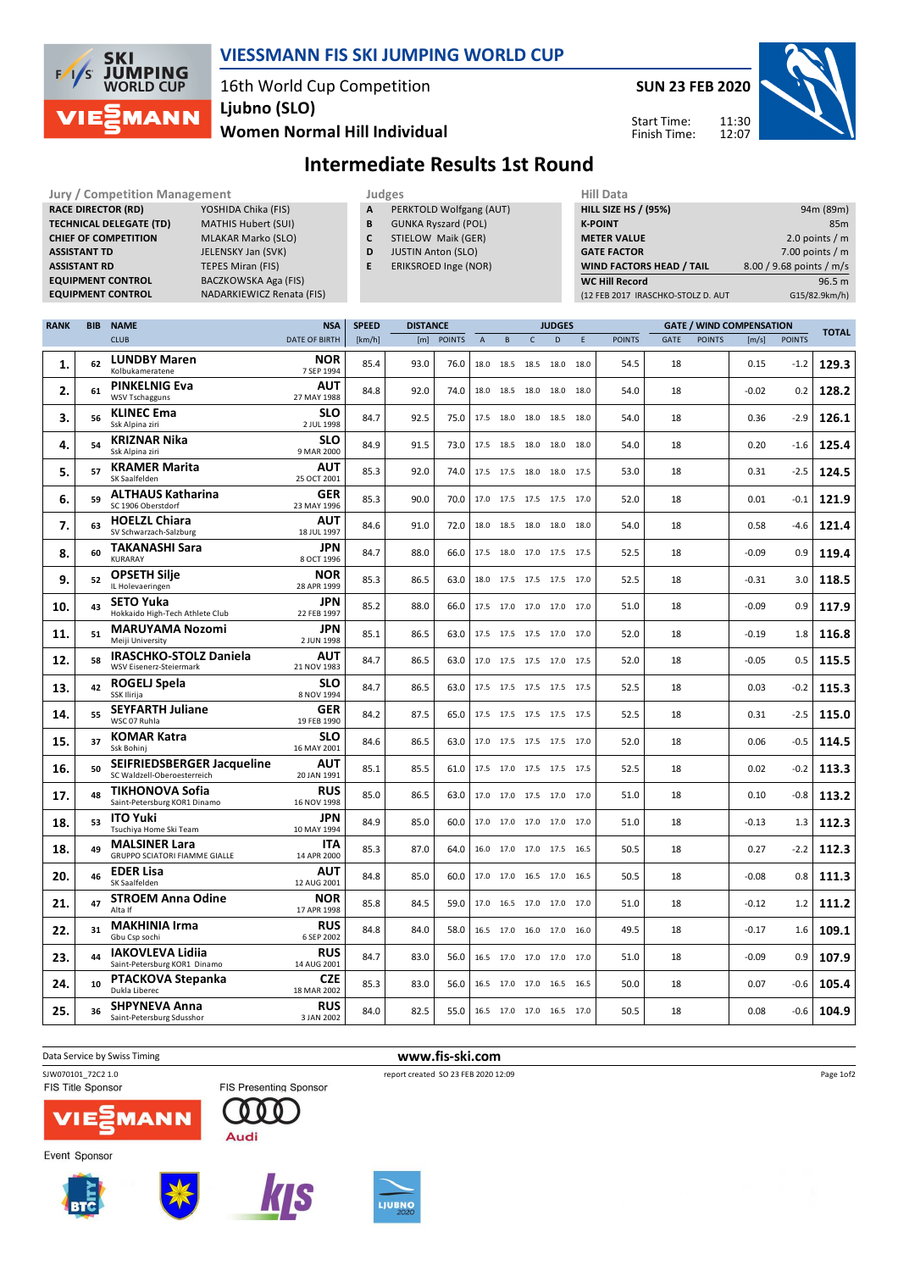

## **VIESSMANN FIS SKI JUMPING WORLD CUP**

16th World Cup Competition **Ljubno (SLO)**

**Women Normal Hill Individual**

**Jury / Competition Management Judges Hill Data**<br> **RACE DIRECTOR (RD)** YOSHIDA Chika (FIS) **A PERKTOLD Wolfgang (ALIT)** HILL SIZE H

**SUN 23 FEB 2020** 11:30 12:07 Start Time: Finish Time:



# **Intermediate Results 1st Round**

| <b>RACE DIRECTOR (RD)</b><br>YOSHIDA Chika (FIS)<br><b>TECHNICAL DELEGATE (TD)</b><br><b>MATHIS Hubert (SUI)</b><br><b>CHIEF OF COMPETITION</b><br><b>MLAKAR Marko (SLO)</b><br><b>ASSISTANT TD</b><br>JELENSKY Jan (SVK)<br><b>ASSISTANT RD</b><br><b>TEPES Miran (FIS)</b><br><b>EQUIPMENT CONTROL</b><br>BACZKOWSKA Aga (FIS)<br><b>EQUIPMENT CONTROL</b><br>NADARKIEWICZ Renata (FIS) |    |                                                              |                                         |              | Α<br>PERKTOLD Wolfgang (AUT)<br>B<br><b>GUNKA Ryszard (POL)</b><br>C<br>STIELOW Maik (GER)<br>D<br><b>JUSTIN Anton (SLO)</b><br>E<br>ERIKSROED Inge (NOR) |               |             |                          |              |                | <b>HILL SIZE HS / (95%)</b><br><b>K-POINT</b><br><b>METER VALUE</b><br><b>GATE FACTOR</b><br>WIND FACTORS HEAD / TAIL<br><b>WC Hill Record</b><br>(12 FEB 2017 IRASCHKO-STOLZ D. AUT |               |      |               | 94m (89m)<br>85m<br>2.0 points $/m$<br>7.00 points $/m$<br>8.00 / 9.68 points / m/s<br>96.5 m<br>G15/82.9km/h) |               |              |
|-------------------------------------------------------------------------------------------------------------------------------------------------------------------------------------------------------------------------------------------------------------------------------------------------------------------------------------------------------------------------------------------|----|--------------------------------------------------------------|-----------------------------------------|--------------|-----------------------------------------------------------------------------------------------------------------------------------------------------------|---------------|-------------|--------------------------|--------------|----------------|--------------------------------------------------------------------------------------------------------------------------------------------------------------------------------------|---------------|------|---------------|----------------------------------------------------------------------------------------------------------------|---------------|--------------|
| <b>RANK</b>                                                                                                                                                                                                                                                                                                                                                                               |    | <b>BIB NAME</b>                                              | <b>NSA</b>                              | <b>SPEED</b> | <b>DISTANCE</b>                                                                                                                                           |               |             |                          |              | <b>JUDGES</b>  |                                                                                                                                                                                      |               |      |               | <b>GATE / WIND COMPENSATION</b>                                                                                |               |              |
|                                                                                                                                                                                                                                                                                                                                                                                           |    | <b>CLUB</b>                                                  | <b>DATE OF BIRTH</b>                    | [km/h]       | [m]                                                                                                                                                       | <b>POINTS</b> | $\mathsf A$ | $\, {\bf B}$             | $\mathsf{C}$ | D.             | $\mathsf E$                                                                                                                                                                          | <b>POINTS</b> | GATE | <b>POINTS</b> | [m/s]                                                                                                          | <b>POINTS</b> | <b>TOTAL</b> |
| 1.                                                                                                                                                                                                                                                                                                                                                                                        | 62 | <b>LUNDBY Maren</b><br>Kolbukameratene                       | <b>NOR</b><br>7 SEP 1994                | 85.4         | 93.0                                                                                                                                                      | 76.0          |             | 18.0 18.5 18.5 18.0 18.0 |              |                |                                                                                                                                                                                      | 54.5          | 18   |               | 0.15                                                                                                           | $-1.2$        | 129.3        |
| 2.                                                                                                                                                                                                                                                                                                                                                                                        | 61 | <b>PINKELNIG Eva</b><br><b>WSV Tschagguns</b>                | <b>AUT</b><br>27 MAY 1988               | 84.8         | 92.0                                                                                                                                                      | 74.0          |             | 18.0 18.5 18.0 18.0 18.0 |              |                |                                                                                                                                                                                      | 54.0          | 18   |               | $-0.02$                                                                                                        | 0.2           | 128.2        |
| 3.                                                                                                                                                                                                                                                                                                                                                                                        | 56 | <b>KLINEC Ema</b><br>Ssk Alpina ziri                         | <b>SLO</b><br>2 JUL 1998                | 84.7         | 92.5                                                                                                                                                      | 75.0          |             | 17.5 18.0 18.0 18.5 18.0 |              |                |                                                                                                                                                                                      | 54.0          | 18   |               | 0.36                                                                                                           | $-2.9$        | 126.1        |
| 4.                                                                                                                                                                                                                                                                                                                                                                                        | 54 | <b>KRIZNAR Nika</b><br>Ssk Alpina ziri                       | <b>SLO</b><br>9 MAR 2000                | 84.9         | 91.5                                                                                                                                                      | 73.0          |             | 17.5 18.5 18.0 18.0      |              |                | 18.0                                                                                                                                                                                 | 54.0          | 18   |               | 0.20                                                                                                           | $-1.6$        | 125.4        |
| 5.                                                                                                                                                                                                                                                                                                                                                                                        | 57 | <b>KRAMER Marita</b><br>SK Saalfelden                        | <b>AUT</b><br>25 OCT 2001               | 85.3         | 92.0                                                                                                                                                      | 74.0          |             | 17.5 17.5 18.0 18.0 17.5 |              |                |                                                                                                                                                                                      | 53.0          | 18   |               | 0.31                                                                                                           | $-2.5$        | 124.5        |
| 6.                                                                                                                                                                                                                                                                                                                                                                                        | 59 | <b>ALTHAUS Katharina</b><br>SC 1906 Oberstdorf               | GER<br>23 MAY 1996                      | 85.3         | 90.0                                                                                                                                                      | 70.0          |             | 17.0 17.5 17.5 17.5 17.0 |              |                |                                                                                                                                                                                      | 52.0          | 18   |               | 0.01                                                                                                           | $-0.1$        | 121.9        |
| 7.                                                                                                                                                                                                                                                                                                                                                                                        | 63 | <b>HOELZL Chiara</b><br>SV Schwarzach-Salzburg               | AUT<br>18 JUL 1997                      | 84.6         | 91.0                                                                                                                                                      | 72.0          |             | 18.0 18.5 18.0 18.0 18.0 |              |                |                                                                                                                                                                                      | 54.0          | 18   |               | 0.58                                                                                                           | $-4.6$        | 121.4        |
| 8.                                                                                                                                                                                                                                                                                                                                                                                        | 60 | <b>TAKANASHI Sara</b><br><b>KURARAY</b>                      | <b>JPN</b><br>8 OCT 1996                | 84.7         | 88.0                                                                                                                                                      | 66.0          |             | 17.5 18.0 17.0 17.5 17.5 |              |                |                                                                                                                                                                                      | 52.5          | 18   |               | $-0.09$                                                                                                        | 0.9           | 119.4        |
| 9.                                                                                                                                                                                                                                                                                                                                                                                        | 52 | <b>OPSETH Silje</b><br>IL Holevaeringen                      | <b>NOR</b><br>28 APR 1999               | 85.3         | 86.5                                                                                                                                                      | 63.0          |             | 18.0 17.5 17.5 17.5 17.0 |              |                |                                                                                                                                                                                      | 52.5          | 18   |               | $-0.31$                                                                                                        | 3.0           | 118.5        |
| 10.                                                                                                                                                                                                                                                                                                                                                                                       | 43 | <b>SETO Yuka</b><br>Hokkaido High-Tech Athlete Club          | <b>JPN</b><br>22 FEB 1997               | 85.2         | 88.0                                                                                                                                                      | 66.0          |             | 17.5 17.0 17.0 17.0 17.0 |              |                |                                                                                                                                                                                      | 51.0          | 18   |               | $-0.09$                                                                                                        | 0.9           | 117.9        |
| 11.                                                                                                                                                                                                                                                                                                                                                                                       | 51 | <b>MARUYAMA Nozomi</b><br>Meiji University                   | <b>JPN</b><br>2 JUN 1998                | 85.1         | 86.5                                                                                                                                                      | 63.0          |             | 17.5 17.5 17.5 17.0 17.0 |              |                |                                                                                                                                                                                      | 52.0          | 18   |               | $-0.19$                                                                                                        | 1.8           | 116.8        |
| 12.                                                                                                                                                                                                                                                                                                                                                                                       | 58 | <b>IRASCHKO-STOLZ Daniela</b><br>WSV Eisenerz-Steiermark     | <b>AUT</b><br>21 NOV 1983               | 84.7         | 86.5                                                                                                                                                      | 63.0          |             | 17.0 17.5 17.5 17.0 17.5 |              |                |                                                                                                                                                                                      | 52.0          | 18   |               | $-0.05$                                                                                                        | 0.5           | 115.5        |
| 13.                                                                                                                                                                                                                                                                                                                                                                                       | 42 | <b>ROGELJ Spela</b><br>SSK Ilirija                           | <b>SLO</b><br>8 NOV 1994                | 84.7         | 86.5                                                                                                                                                      | 63.0          |             | 17.5 17.5 17.5 17.5 17.5 |              |                |                                                                                                                                                                                      | 52.5          | 18   |               | 0.03                                                                                                           | $-0.2$        | 115.3        |
| 14.                                                                                                                                                                                                                                                                                                                                                                                       | 55 | <b>SEYFARTH Juliane</b><br>WSC 07 Ruhla                      | GER<br>19 FEB 1990                      | 84.2         | 87.5                                                                                                                                                      | 65.0          |             | 17.5 17.5 17.5 17.5 17.5 |              |                |                                                                                                                                                                                      | 52.5          | 18   |               | 0.31                                                                                                           | $-2.5$        | 115.0        |
| 15.                                                                                                                                                                                                                                                                                                                                                                                       | 37 | <b>KOMAR Katra</b><br>Ssk Bohinj                             | <b>SLO</b><br>16 MAY 2001<br><b>AUT</b> | 84.6         | 86.5                                                                                                                                                      | 63.0          |             | 17.0 17.5 17.5 17.5 17.0 |              |                |                                                                                                                                                                                      | 52.0          | 18   |               | 0.06                                                                                                           | $-0.5$        | 114.5        |
| 16.                                                                                                                                                                                                                                                                                                                                                                                       | 50 | SEIFRIEDSBERGER Jacqueline<br>SC Waldzell-Oberoesterreich    | 20 JAN 1991                             | 85.1         | 85.5                                                                                                                                                      | 61.0          |             | 17.5 17.0 17.5 17.5 17.5 |              |                |                                                                                                                                                                                      | 52.5          | 18   |               | 0.02                                                                                                           | $-0.2$        | 113.3        |
| 17.                                                                                                                                                                                                                                                                                                                                                                                       | 48 | <b>TIKHONOVA Sofia</b><br>Saint-Petersburg KOR1 Dinamo       | <b>RUS</b><br>16 NOV 1998               | 85.0         | 86.5                                                                                                                                                      | 63.0          |             | 17.0 17.0 17.5 17.0 17.0 |              |                |                                                                                                                                                                                      | 51.0          | 18   |               | 0.10                                                                                                           | $-0.8$        | 113.2        |
| 18.                                                                                                                                                                                                                                                                                                                                                                                       | 53 | <b>ITO Yuki</b><br>Tsuchiya Home Ski Team                    | JPN<br>10 MAY 1994                      | 84.9         | 85.0                                                                                                                                                      | 60.0          |             | 17.0 17.0 17.0 17.0 17.0 |              |                |                                                                                                                                                                                      | 51.0          | 18   |               | $-0.13$                                                                                                        | 1.3           | 112.3        |
| 18.                                                                                                                                                                                                                                                                                                                                                                                       | 49 | <b>MALSINER Lara</b><br><b>GRUPPO SCIATORI FIAMME GIALLE</b> | <b>ITA</b><br>14 APR 2000               | 85.3         | 87.0                                                                                                                                                      | 64.0          |             | 16.0 17.0 17.0 17.5 16.5 |              |                |                                                                                                                                                                                      | 50.5          | 18   |               | 0.27                                                                                                           | $-2.2$        | 112.3        |
| 20.                                                                                                                                                                                                                                                                                                                                                                                       | 46 | <b>EDER Lisa</b><br>SK Saalfelden                            | <b>AUT</b><br>12 AUG 2001               | 84.8         | 85.0                                                                                                                                                      | 60.0          |             | 17.0 17.0                |              | 16.5 17.0 16.5 |                                                                                                                                                                                      | 50.5          | 18   |               | $-0.08$                                                                                                        | 0.8           | 111.3        |
| 21.                                                                                                                                                                                                                                                                                                                                                                                       | 47 | <b>STROEM Anna Odine</b><br>Alta If                          | <b>NOR</b><br>17 APR 1998               | 85.8         | 84.5                                                                                                                                                      | 59.0          |             | 17.0 16.5 17.0 17.0 17.0 |              |                |                                                                                                                                                                                      | 51.0          | 18   |               | $-0.12$                                                                                                        | 1.2           | 111.2        |
| 22.                                                                                                                                                                                                                                                                                                                                                                                       | 31 | <b>MAKHINIA Irma</b><br>Gbu Csp sochi                        | <b>RUS</b><br>6 SEP 2002                | 84.8         | 84.0                                                                                                                                                      | 58.0          |             | 16.5 17.0                |              | 16.0 17.0 16.0 |                                                                                                                                                                                      | 49.5          | 18   |               | $-0.17$                                                                                                        | 1.6           | 109.1        |
| 23.                                                                                                                                                                                                                                                                                                                                                                                       | 44 | <b>IAKOVLEVA Lidija</b><br>Saint-Petersburg KOR1 Dinamo      | <b>RUS</b><br>14 AUG 2001               | 84.7         | 83.0                                                                                                                                                      | 56.0          |             | 16.5 17.0 17.0 17.0 17.0 |              |                |                                                                                                                                                                                      | 51.0          | 18   |               | $-0.09$                                                                                                        | 0.9           | 107.9        |

Data Service by Swiss Timing **www.fis-ski.com**

**24. 10**

**25. 36**

**CZE** 85.3 83.0 56.0 16.5 17.0 16.5 16.5 50.0 18 0.07 -0.6 105.4

**RUS** 84.0 82.5 55.0 16.5 17.0 16.5 17.0 50.5 18 0.08 -0.6 104.9

SJW070101\_72C2 1.0<br>
FIS Title Sponsor<br>
FIS Presenting Sponsor<br>
FIS Title Sponsor

**MANN** ΊΕ

Dukla Liberec

**PTACKOVA Stepanka**

Saint-Petersburg Sdusshor **SHPYNEVA Anna**







18 MAR 2002

3 JAN 2002

000

Audi

Page 1of2